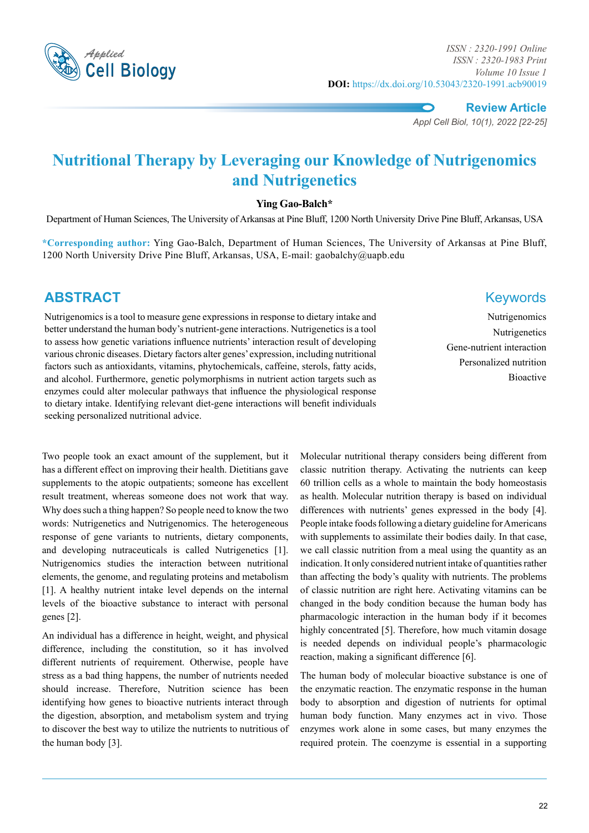

*Applied ISSN : 2320-1991 Online ISSN : 2320-1983 Print Volume 10 Issue 1* **DOI:** https://dx.doi.org/10.53043/2320-1991.acb90019

**Review Article**

*Appl Cell Biol, 10(1), 2022 [22-25]*

# **Nutritional Therapy by Leveraging our Knowledge of Nutrigenomics and Nutrigenetics**

#### **Ying Gao-Balch\***

Department of Human Sciences, The University of Arkansas at Pine Bluff, 1200 North University Drive Pine Bluff, Arkansas, USA

**\*Corresponding author:** Ying Gao-Balch, Department of Human Sciences, The University of Arkansas at Pine Bluff, 1200 North University Drive Pine Bluff, Arkansas, USA, E-mail: gaobalchy@uapb.edu

### **ABSTRACT** Keywords

Nutrigenomics is a tool to measure gene expressions in response to dietary intake and better understand the human body's nutrient-gene interactions. Nutrigenetics is a tool to assess how genetic variations influence nutrients' interaction result of developing various chronic diseases. Dietary factors alter genes' expression, including nutritional factors such as antioxidants, vitamins, phytochemicals, caffeine, sterols, fatty acids, and alcohol. Furthermore, genetic polymorphisms in nutrient action targets such as enzymes could alter molecular pathways that influence the physiological response to dietary intake. Identifying relevant diet-gene interactions will benefit individuals seeking personalized nutritional advice.

Two people took an exact amount of the supplement, but it has a different effect on improving their health. Dietitians gave supplements to the atopic outpatients; someone has excellent result treatment, whereas someone does not work that way. Why does such a thing happen? So people need to know the two words: Nutrigenetics and Nutrigenomics. The heterogeneous response of gene variants to nutrients, dietary components, and developing nutraceuticals is called Nutrigenetics [1]. Nutrigenomics studies the interaction between nutritional elements, the genome, and regulating proteins and metabolism [1]. A healthy nutrient intake level depends on the internal levels of the bioactive substance to interact with personal genes [2].

An individual has a difference in height, weight, and physical difference, including the constitution, so it has involved different nutrients of requirement. Otherwise, people have stress as a bad thing happens, the number of nutrients needed should increase. Therefore, Nutrition science has been identifying how genes to bioactive nutrients interact through the digestion, absorption, and metabolism system and trying to discover the best way to utilize the nutrients to nutritious of the human body [3].

# Gene-nutrient interaction Personalized nutrition Bioactive

Nutrigenomics Nutrigenetics

Molecular nutritional therapy considers being different from classic nutrition therapy. Activating the nutrients can keep 60 trillion cells as a whole to maintain the body homeostasis as health. Molecular nutrition therapy is based on individual differences with nutrients' genes expressed in the body [4]. People intake foods following a dietary guideline for Americans with supplements to assimilate their bodies daily. In that case, we call classic nutrition from a meal using the quantity as an indication. It only considered nutrient intake of quantities rather than affecting the body's quality with nutrients. The problems of classic nutrition are right here. Activating vitamins can be changed in the body condition because the human body has pharmacologic interaction in the human body if it becomes highly concentrated [5]. Therefore, how much vitamin dosage is needed depends on individual people's pharmacologic reaction, making a significant difference [6].

The human body of molecular bioactive substance is one of the enzymatic reaction. The enzymatic response in the human body to absorption and digestion of nutrients for optimal human body function. Many enzymes act in vivo. Those enzymes work alone in some cases, but many enzymes the required protein. The coenzyme is essential in a supporting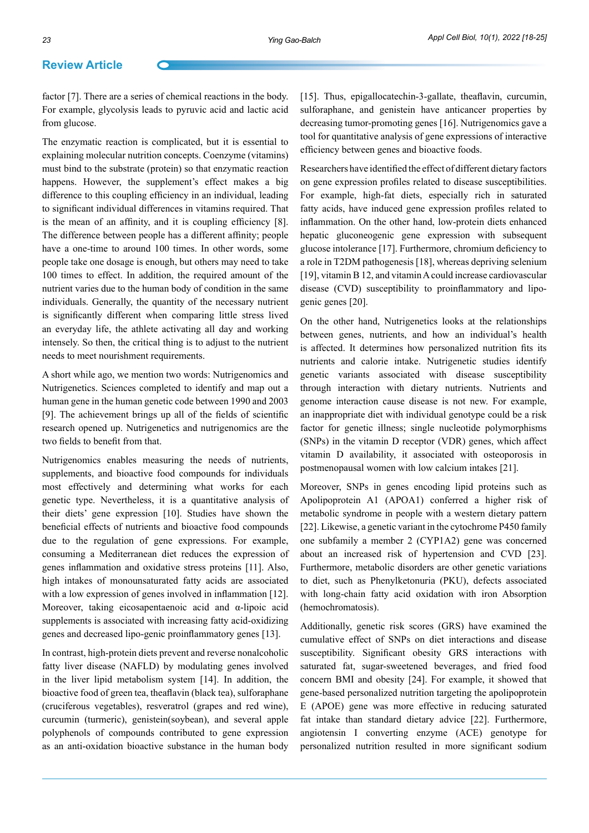#### **Review Article**

factor [7]. There are a series of chemical reactions in the body. For example, glycolysis leads to pyruvic acid and lactic acid from glucose.

The enzymatic reaction is complicated, but it is essential to explaining molecular nutrition concepts. Coenzyme (vitamins) must bind to the substrate (protein) so that enzymatic reaction happens. However, the supplement's effect makes a big difference to this coupling efficiency in an individual, leading to significant individual differences in vitamins required. That is the mean of an affinity, and it is coupling efficiency [8]. The difference between people has a different affinity; people have a one-time to around 100 times. In other words, some people take one dosage is enough, but others may need to take 100 times to effect. In addition, the required amount of the nutrient varies due to the human body of condition in the same individuals. Generally, the quantity of the necessary nutrient is significantly different when comparing little stress lived an everyday life, the athlete activating all day and working intensely. So then, the critical thing is to adjust to the nutrient needs to meet nourishment requirements.

A short while ago, we mention two words: Nutrigenomics and Nutrigenetics. Sciences completed to identify and map out a human gene in the human genetic code between 1990 and 2003 [9]. The achievement brings up all of the fields of scientific research opened up. Nutrigenetics and nutrigenomics are the two fields to benefit from that.

Nutrigenomics enables measuring the needs of nutrients, supplements, and bioactive food compounds for individuals most effectively and determining what works for each genetic type. Nevertheless, it is a quantitative analysis of their diets' gene expression [10]. Studies have shown the beneficial effects of nutrients and bioactive food compounds due to the regulation of gene expressions. For example, consuming a Mediterranean diet reduces the expression of genes inflammation and oxidative stress proteins [11]. Also, high intakes of monounsaturated fatty acids are associated with a low expression of genes involved in inflammation [12]. Moreover, taking eicosapentaenoic acid and α-lipoic acid supplements is associated with increasing fatty acid-oxidizing genes and decreased lipo-genic proinflammatory genes [13].

In contrast, high-protein diets prevent and reverse nonalcoholic fatty liver disease (NAFLD) by modulating genes involved in the liver lipid metabolism system [14]. In addition, the bioactive food of green tea, theaflavin (black tea), sulforaphane (cruciferous vegetables), resveratrol (grapes and red wine), curcumin (turmeric), genistein(soybean), and several apple polyphenols of compounds contributed to gene expression as an anti-oxidation bioactive substance in the human body

[15]. Thus, epigallocatechin-3-gallate, theaflavin, curcumin, sulforaphane, and genistein have anticancer properties by decreasing tumor-promoting genes [16]. Nutrigenomics gave a tool for quantitative analysis of gene expressions of interactive efficiency between genes and bioactive foods.

Researchers have identified the effect of different dietary factors on gene expression profiles related to disease susceptibilities. For example, high-fat diets, especially rich in saturated fatty acids, have induced gene expression profiles related to inflammation. On the other hand, low-protein diets enhanced hepatic gluconeogenic gene expression with subsequent glucose intolerance [17]. Furthermore, chromium deficiency to a role in T2DM pathogenesis [18], whereas depriving selenium [19], vitamin B 12, and vitamin A could increase cardiovascular disease (CVD) susceptibility to proinflammatory and lipogenic genes [20].

On the other hand, Nutrigenetics looks at the relationships between genes, nutrients, and how an individual's health is affected. It determines how personalized nutrition fits its nutrients and calorie intake. Nutrigenetic studies identify genetic variants associated with disease susceptibility through interaction with dietary nutrients. Nutrients and genome interaction cause disease is not new. For example, an inappropriate diet with individual genotype could be a risk factor for genetic illness; single nucleotide polymorphisms (SNPs) in the vitamin D receptor (VDR) genes, which affect vitamin D availability, it associated with osteoporosis in postmenopausal women with low calcium intakes [21].

Moreover, SNPs in genes encoding lipid proteins such as Apolipoprotein A1 (APOA1) conferred a higher risk of metabolic syndrome in people with a western dietary pattern [22]. Likewise, a genetic variant in the cytochrome P450 family one subfamily a member 2 (CYP1A2) gene was concerned about an increased risk of hypertension and CVD [23]. Furthermore, metabolic disorders are other genetic variations to diet, such as Phenylketonuria (PKU), defects associated with long-chain fatty acid oxidation with iron Absorption (hemochromatosis).

Additionally, genetic risk scores (GRS) have examined the cumulative effect of SNPs on diet interactions and disease susceptibility. Significant obesity GRS interactions with saturated fat, sugar-sweetened beverages, and fried food concern BMI and obesity [24]. For example, it showed that gene-based personalized nutrition targeting the apolipoprotein E (APOE) gene was more effective in reducing saturated fat intake than standard dietary advice [22]. Furthermore, angiotensin I converting enzyme (ACE) genotype for personalized nutrition resulted in more significant sodium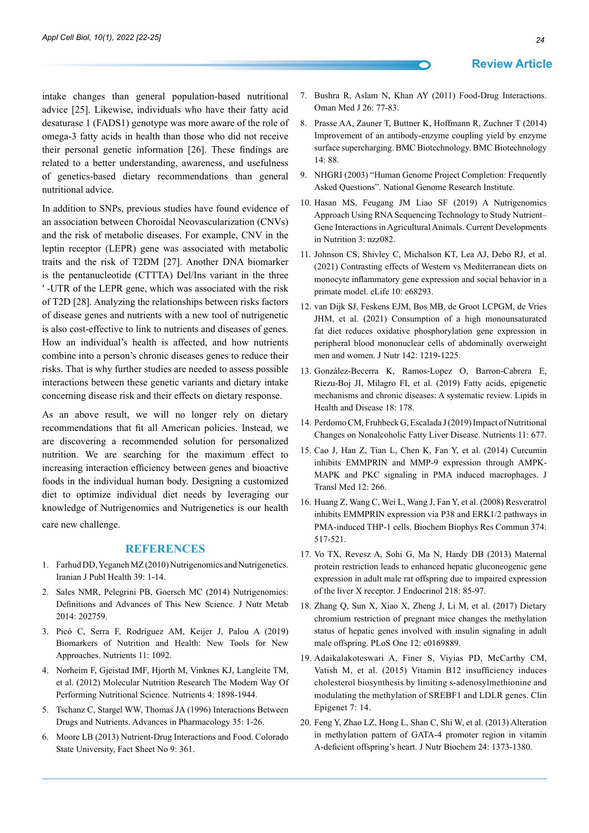intake changes than general population-based nutritional advice [25]. Likewise, individuals who have their fatty acid desaturase 1 (FADS1) genotype was more aware of the role of omega-3 fatty acids in health than those who did not receive their personal genetic information [26]. These findings are related to a better understanding, awareness, and usefulness of genetics-based dietary recommendations than general nutritional advice.

In addition to SNPs, previous studies have found evidence of an association between Choroidal Neovascularization (CNVs) and the risk of metabolic diseases. For example, CNV in the leptin receptor (LEPR) gene was associated with metabolic traits and the risk of T2DM [27]. Another DNA biomarker is the pentanucleotide (CTTTA) Del/Ins variant in the three ′ -UTR of the LEPR gene, which was associated with the risk of T2D [28]. Analyzing the relationships between risks factors of disease genes and nutrients with a new tool of nutrigenetic is also cost-effective to link to nutrients and diseases of genes. How an individual's health is affected, and how nutrients combine into a person's chronic diseases genes to reduce their risks. That is why further studies are needed to assess possible interactions between these genetic variants and dietary intake concerning disease risk and their effects on dietary response.

As an above result, we will no longer rely on dietary recommendations that fit all American policies. Instead, we are discovering a recommended solution for personalized nutrition. We are searching for the maximum effect to increasing interaction efficiency between genes and bioactive foods in the individual human body. Designing a customized diet to optimize individual diet needs by leveraging our knowledge of Nutrigenomics and Nutrigenetics is our health care new challenge.

#### **References**

- 1. [Farhud DD, Yeganeh MZ \(2010\) Nutrigenomics and Nutrigenetics.](https://www.ncbi.nlm.nih.gov/pmc/articles/PMC3481686/)  [Iranian J Publ Health 39: 1-14.](https://www.ncbi.nlm.nih.gov/pmc/articles/PMC3481686/)
- 2. [Sales NMR, Pelegrini PB, Goersch MC \(2014\) Nutrigenomics:](https://www.hindawi.com/journals/jnme/2014/202759/)  [Definitions and Advances of This New Science. J Nutr Metab](https://www.hindawi.com/journals/jnme/2014/202759/)  [2014: 202759.](https://www.hindawi.com/journals/jnme/2014/202759/)
- 3. [Picó C, Serra F, Rodríguez AM, Keijer J, Palou A \(2019\)](https://pubmed.ncbi.nlm.nih.gov/31100942/)  [Biomarkers of Nutrition and Health: New Tools for New](https://pubmed.ncbi.nlm.nih.gov/31100942/)  [Approaches. Nutrients 11: 1092.](https://pubmed.ncbi.nlm.nih.gov/31100942/)
- 4. [Norheim F, Gjeistad IMF, Hjorth M, Vinknes KJ, Langleite TM,](https://pubmed.ncbi.nlm.nih.gov/23208524/)  [et al. \(2012\) Molecular Nutrition Research The Modern Way Of](https://pubmed.ncbi.nlm.nih.gov/23208524/)  [Performing Nutritional Science. Nutrients 4: 1898-1944.](https://pubmed.ncbi.nlm.nih.gov/23208524/)
- 5. [Tschanz C, Stargel WW, Thomas JA \(1996\) Interactions Between](https://www.sciencedirect.com/science/article/abs/pii/S1054358908602732)  [Drugs and Nutrients. Advances in Pharmacology 35: 1-26.](https://www.sciencedirect.com/science/article/abs/pii/S1054358908602732)
- 6. [Moore LB \(2013\) Nutrient-Drug Interactions and Food. Colorado](https://extension.colostate.edu/topic-areas/nutrition-food-safety-health/nutrient-drug-interactions-and-food-9-361/)  [State University, Fact Sheet No 9: 361.](https://extension.colostate.edu/topic-areas/nutrition-food-safety-health/nutrient-drug-interactions-and-food-9-361/)
- 7. [Bushra R, Aslam N, Khan AY \(2011\) Food-Drug Interactions.](https://www.ncbi.nlm.nih.gov/pmc/articles/PMC3191675/)  [Oman Med J 26: 77-83.](https://www.ncbi.nlm.nih.gov/pmc/articles/PMC3191675/)
- 8. [Prasse AA, Zauner T, Buttner K, Hoffmann R, Zuchner T \(2014\)](https://bmcbiotechnol.biomedcentral.com/articles/10.1186/s12896-014-0088-6)  [Improvement of an antibody-enzyme coupling yield by enzyme](https://bmcbiotechnol.biomedcentral.com/articles/10.1186/s12896-014-0088-6)  [surface supercharging. BMC Biotechnology. BMC Biotechnology](https://bmcbiotechnol.biomedcentral.com/articles/10.1186/s12896-014-0088-6)  [14: 88.](https://bmcbiotechnol.biomedcentral.com/articles/10.1186/s12896-014-0088-6)
- 9. NHGRI (2003) "Human Genome Project Completion: Frequently Asked Questions". National Genome Research Institute.
- 10. [Hasan MS, Feugang JM Liao SF \(2019\) A Nutrigenomics](https://pubmed.ncbi.nlm.nih.gov/31414073/)  [Approach Using RNA Sequencing Technology to Study Nutrient–](https://pubmed.ncbi.nlm.nih.gov/31414073/) [Gene Interactions in Agricultural Animals. Current Developments](https://pubmed.ncbi.nlm.nih.gov/31414073/)  [in Nutrition 3: nzz082.](https://pubmed.ncbi.nlm.nih.gov/31414073/)
- 11. [Johnson CS, Shivley C, Michalson KT, Lea AJ, Debo RJ, et al.](https://pubmed.ncbi.nlm.nih.gov/34338633/)  [\(2021\) Contrasting effects of Western vs Mediterranean diets on](https://pubmed.ncbi.nlm.nih.gov/34338633/)  [monocyte inflammatory gene expression and social behavior in a](https://pubmed.ncbi.nlm.nih.gov/34338633/)  [primate model. eLife 10: e68293.](https://pubmed.ncbi.nlm.nih.gov/34338633/)
- 12. [van Dijk SJ, Feskens EJM, Bos MB, de Groot LCPGM, de Vries](https://pubmed.ncbi.nlm.nih.gov/22623392/)  [JHM, et al. \(2021\) Consumption of a high monounsaturated](https://pubmed.ncbi.nlm.nih.gov/22623392/)  [fat diet reduces oxidative phosphorylation gene expression in](https://pubmed.ncbi.nlm.nih.gov/22623392/)  [peripheral blood mononuclear cells of abdominally overweight](https://pubmed.ncbi.nlm.nih.gov/22623392/)  [men and women. J Nutr 142: 1219-1225.](https://pubmed.ncbi.nlm.nih.gov/22623392/)
- 13. [González-Becerra K, Ramos-Lopez O, Barron-Cabrera E,](https://lipidworld.biomedcentral.com/articles/10.1186/s12944-019-1120-6)  [Riezu-Boj JI, Milagro FI, et al. \(2019\) Fatty acids, epigenetic](https://lipidworld.biomedcentral.com/articles/10.1186/s12944-019-1120-6)  [mechanisms and chronic diseases: A systematic review. Lipids in](https://lipidworld.biomedcentral.com/articles/10.1186/s12944-019-1120-6)  [Health and Disease 18: 178.](https://lipidworld.biomedcentral.com/articles/10.1186/s12944-019-1120-6)
- 14. [Perdomo CM, Fruhbeck G, Escalada J \(2019\) Impact of Nutritional](https://pubmed.ncbi.nlm.nih.gov/30901929/)  [Changes on Nonalcoholic Fatty Liver Disease. Nutrients 11: 677.](https://pubmed.ncbi.nlm.nih.gov/30901929/)
- 15. [Cao J, Han Z, Tian L, Chen K, Fan Y, et al. \(2014\) Curcumin](https://pubmed.ncbi.nlm.nih.gov/25241044/)  [inhibits EMMPRIN and MMP-9 expression through AMPK-](https://pubmed.ncbi.nlm.nih.gov/25241044/)[MAPK and PKC signaling in PMA induced macrophages. J](https://pubmed.ncbi.nlm.nih.gov/25241044/)  [Transl Med 12: 266.](https://pubmed.ncbi.nlm.nih.gov/25241044/)
- 16. [Huang Z, Wang C, Wei L, Wang J, Fan Y, et al. \(2008\) Resveratrol](https://pubmed.ncbi.nlm.nih.gov/18647594/)  [inhibits EMMPRIN expression via P38 and ERK1/2 pathways in](https://pubmed.ncbi.nlm.nih.gov/18647594/)  [PMA-induced THP-1 cells. Biochem Biophys Res Commun 374:](https://pubmed.ncbi.nlm.nih.gov/18647594/)  [517-521.](https://pubmed.ncbi.nlm.nih.gov/18647594/)
- 17. [Vo TX, Revesz A, Sohi G, Ma N, Hardy DB \(2013\) Maternal](https://pubmed.ncbi.nlm.nih.gov/23633563/)  [protein restriction leads to enhanced hepatic gluconeogenic gene](https://pubmed.ncbi.nlm.nih.gov/23633563/)  [expression in adult male rat offspring due to impaired expression](https://pubmed.ncbi.nlm.nih.gov/23633563/)  [of the liver X receptor. J Endocrinol 218: 85-97.](https://pubmed.ncbi.nlm.nih.gov/23633563/)
- 18. [Zhang Q, Sun X, Xiao X, Zheng J, Li M, et al. \(2017\) Dietary](https://pubmed.ncbi.nlm.nih.gov/28072825/)  [chromium restriction of pregnant mice changes the methylation](https://pubmed.ncbi.nlm.nih.gov/28072825/)  [status of hepatic genes involved with insulin signaling in adult](https://pubmed.ncbi.nlm.nih.gov/28072825/)  [male offspring. PLoS One 12: e0169889.](https://pubmed.ncbi.nlm.nih.gov/28072825/)
- 19. [Adaikalakoteswari A, Finer S, Viyias PD, McCarthy CM,](https://pubmed.ncbi.nlm.nih.gov/25763114/)  [Vatish M, et al. \(2015\) Vitamin B12 insufficiency induces](https://pubmed.ncbi.nlm.nih.gov/25763114/)  [cholesterol biosynthesis by limiting s-adenosylmethionine and](https://pubmed.ncbi.nlm.nih.gov/25763114/)  [modulating the methylation of SREBF1 and LDLR genes. Clin](https://pubmed.ncbi.nlm.nih.gov/25763114/)  [Epigenet 7: 14.](https://pubmed.ncbi.nlm.nih.gov/25763114/)
- 20. [Feng Y, Zhao LZ, Hong L, Shan C, Shi W, et al. \(2013\) Alteration](https://pubmed.ncbi.nlm.nih.gov/23333085/)  [in methylation pattern of GATA-4 promoter region in vitamin](https://pubmed.ncbi.nlm.nih.gov/23333085/)  [A-deficient offspring's heart. J Nutr Biochem 24: 1373-1380.](https://pubmed.ncbi.nlm.nih.gov/23333085/)

#### **Review Article**